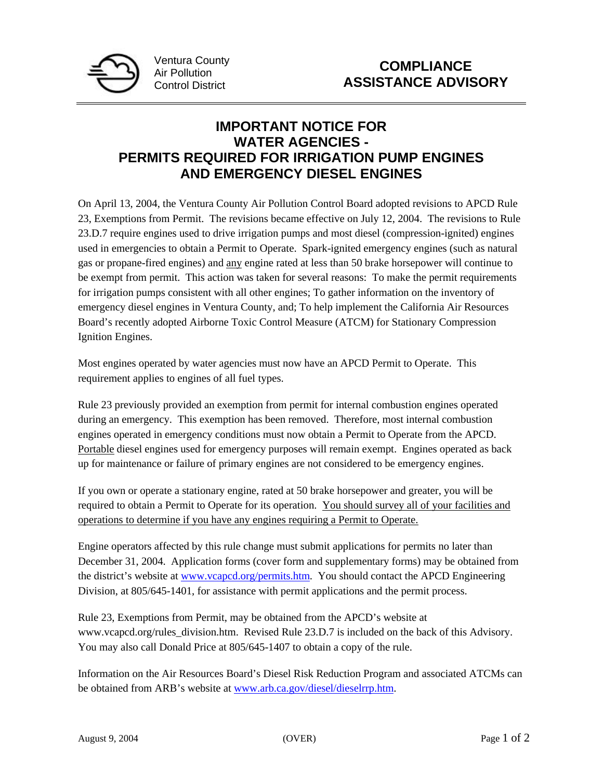

## **IMPORTANT NOTICE FOR WATER AGENCIES - PERMITS REQUIRED FOR IRRIGATION PUMP ENGINES AND EMERGENCY DIESEL ENGINES**

On April 13, 2004, the Ventura County Air Pollution Control Board adopted revisions to APCD Rule 23, Exemptions from Permit. The revisions became effective on July 12, 2004. The revisions to Rule 23.D.7 require engines used to drive irrigation pumps and most diesel (compression-ignited) engines used in emergencies to obtain a Permit to Operate. Spark-ignited emergency engines (such as natural gas or propane-fired engines) and any engine rated at less than 50 brake horsepower will continue to be exempt from permit. This action was taken for several reasons: To make the permit requirements for irrigation pumps consistent with all other engines; To gather information on the inventory of emergency diesel engines in Ventura County, and; To help implement the California Air Resources Board's recently adopted Airborne Toxic Control Measure (ATCM) for Stationary Compression Ignition Engines.

Most engines operated by water agencies must now have an APCD Permit to Operate. This requirement applies to engines of all fuel types.

Rule 23 previously provided an exemption from permit for internal combustion engines operated during an emergency. This exemption has been removed. Therefore, most internal combustion engines operated in emergency conditions must now obtain a Permit to Operate from the APCD. Portable diesel engines used for emergency purposes will remain exempt. Engines operated as back up for maintenance or failure of primary engines are not considered to be emergency engines.

If you own or operate a stationary engine, rated at 50 brake horsepower and greater, you will be required to obtain a Permit to Operate for its operation. You should survey all of your facilities and operations to determine if you have any engines requiring a Permit to Operate.

Engine operators affected by this rule change must submit applications for permits no later than December 31, 2004. Application forms (cover form and supplementary forms) may be obtained from the district's website at www.vcapcd.org/permits.htm. You should contact the APCD Engineering Division, at 805/645-1401, for assistance with permit applications and the permit process.

Rule 23, Exemptions from Permit, may be obtained from the APCD's website at www.vcapcd.org/rules\_division.htm. Revised Rule 23.D.7 is included on the back of this Advisory. You may also call Donald Price at 805/645-1407 to obtain a copy of the rule.

Information on the Air Resources Board's Diesel Risk Reduction Program and associated ATCMs can be obtained from ARB's website at www.arb.ca.gov/diesel/dieselrrp.htm.